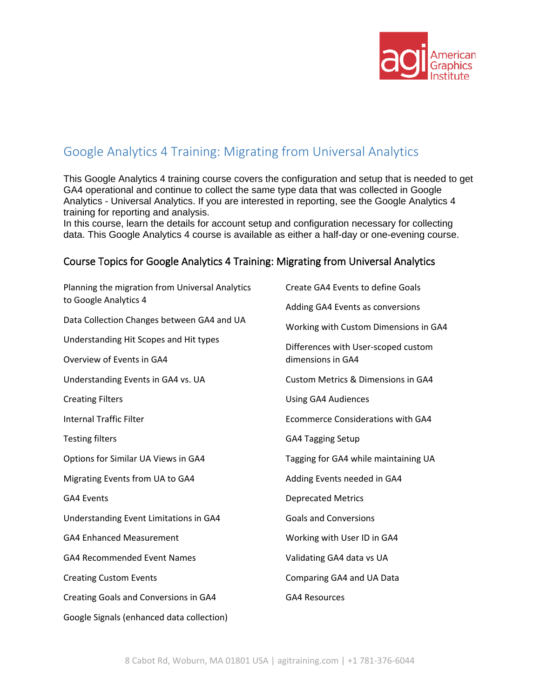

## Google Analytics 4 Training: Migrating from Universal Analytics

This Google Analytics 4 training course covers the configuration and setup that is needed to get GA4 operational and continue to collect the same type data that was collected in Google Analytics - Universal Analytics. If you are interested in reporting, see the Google Analytics 4 training for reporting and analysis.

In this course, learn the details for account setup and configuration necessary for collecting data. This Google Analytics 4 course is available as either a half-day or one-evening course.

## Course Topics for Google Analytics 4 Training: Migrating from Universal Analytics

| Planning the migration from Universal Analytics<br>to Google Analytics 4 | Create GA4 Events to define Goals        |
|--------------------------------------------------------------------------|------------------------------------------|
|                                                                          | Adding GA4 Events as conversions         |
| Data Collection Changes between GA4 and UA                               | Working with Custom Dimensions in GA4    |
| Understanding Hit Scopes and Hit types                                   | Differences with User-scoped custom      |
| Overview of Events in GA4                                                | dimensions in GA4                        |
| Understanding Events in GA4 vs. UA                                       | Custom Metrics & Dimensions in GA4       |
| <b>Creating Filters</b>                                                  | <b>Using GA4 Audiences</b>               |
| <b>Internal Traffic Filter</b>                                           | <b>Ecommerce Considerations with GA4</b> |
| <b>Testing filters</b>                                                   | <b>GA4 Tagging Setup</b>                 |
| Options for Similar UA Views in GA4                                      | Tagging for GA4 while maintaining UA     |
| Migrating Events from UA to GA4                                          | Adding Events needed in GA4              |
| <b>GA4 Events</b>                                                        | <b>Deprecated Metrics</b>                |
| Understanding Event Limitations in GA4                                   | <b>Goals and Conversions</b>             |
| <b>GA4 Enhanced Measurement</b>                                          | Working with User ID in GA4              |
| <b>GA4 Recommended Event Names</b>                                       | Validating GA4 data vs UA                |
| <b>Creating Custom Events</b>                                            | Comparing GA4 and UA Data                |
| Creating Goals and Conversions in GA4                                    | <b>GA4 Resources</b>                     |
| Google Signals (enhanced data collection)                                |                                          |